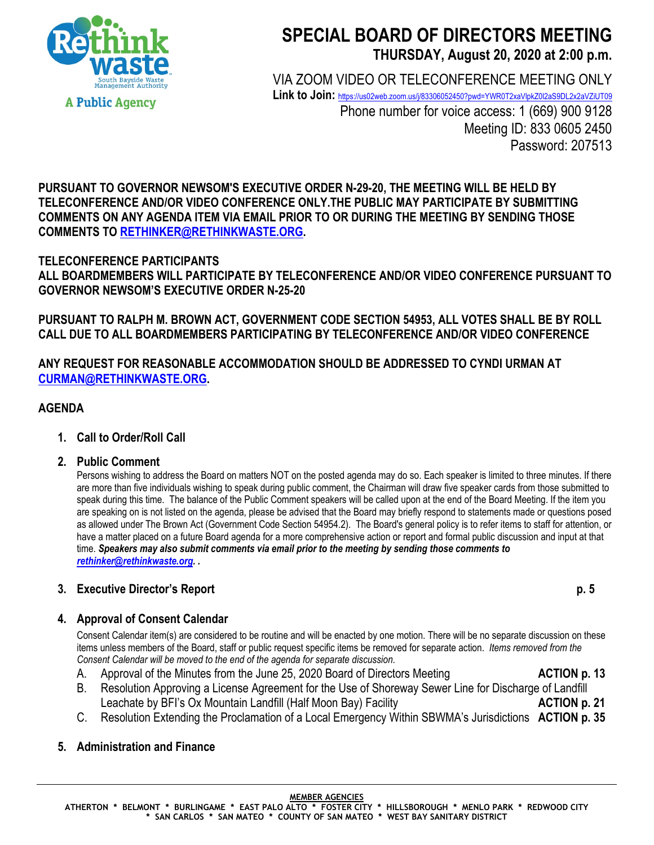

# **SPECIAL BOARD OF DIRECTORS MEETING THURSDAY, August 20, 2020 at 2:00 p.m.**

VIA ZOOM VIDEO OR TELECONFERENCE MEETING ONLY

Link to Join: <https://us02web.zoom.us/j/83306052450?pwd=YWR0T2xaVlpkZ0l2aS9DL2x2aVZiUT09>

Phone number for voice access: 1 (669) 900 9128 Meeting ID: 833 0605 2450 Password: 207513

**PURSUANT TO GOVERNOR NEWSOM'S EXECUTIVE ORDER N-29-20, THE MEETING WILL BE HELD BY TELECONFERENCE AND/OR VIDEO CONFERENCE ONLY.THE PUBLIC MAY PARTICIPATE BY SUBMITTING COMMENTS ON ANY AGENDA ITEM VIA EMAIL PRIOR TO OR DURING THE MEETING BY SENDING THOSE COMMENTS TO [RETHINKER@RETHINKWASTE.ORG.](mailto:rethinker@rethinkwaste.org)** 

# **TELECONFERENCE PARTICIPANTS**

**ALL BOARDMEMBERS WILL PARTICIPATE BY TELECONFERENCE AND/OR VIDEO CONFERENCE PURSUANT TO GOVERNOR NEWSOM'S EXECUTIVE ORDER N-25-20**

**PURSUANT TO RALPH M. BROWN ACT, GOVERNMENT CODE SECTION 54953, ALL VOTES SHALL BE BY ROLL CALL DUE TO ALL BOARDMEMBERS PARTICIPATING BY TELECONFERENCE AND/OR VIDEO CONFERENCE**

**ANY REQUEST FOR REASONABLE ACCOMMODATION SHOULD BE ADDRESSED TO CYNDI URMAN AT [CURMAN@RETHINKWASTE.ORG.](mailto:CURMAN@RETHINKWASTE.ORG)** 

#### **AGENDA**

- **1. Call to Order/Roll Call**
- **2. Public Comment**

Persons wishing to address the Board on matters NOT on the posted agenda may do so. Each speaker is limited to three minutes. If there are more than five individuals wishing to speak during public comment, the Chairman will draw five speaker cards from those submitted to speak during this time. The balance of the Public Comment speakers will be called upon at the end of the Board Meeting. If the item you are speaking on is not listed on the agenda, please be advised that the Board may briefly respond to statements made or questions posed as allowed under The Brown Act (Government Code Section 54954.2). The Board's general policy is to refer items to staff for attention, or have a matter placed on a future Board agenda for a more comprehensive action or report and formal public discussion and input at that time. *Speakers may also submit comments via email prior to the meeting by sending those comments to [rethinker@rethinkwaste.org.](mailto:rethinker@rethinkwaste.org) .*

## **3. Executive Director's Report p. 5**

#### **4. Approval of Consent Calendar**

Consent Calendar item(s) are considered to be routine and will be enacted by one motion. There will be no separate discussion on these items unless members of the Board, staff or public request specific items be removed for separate action. *Items removed from the Consent Calendar will be moved to the end of the agenda for separate discussion*.

- A. Approval of the Minutes from the June 25, 2020 Board of Directors Meeting **ACTION p. 13**
- B. Resolution Approving a License Agreement for the Use of Shoreway Sewer Line for Discharge of Landfill Leachate by BFI's Ox Mountain Landfill (Half Moon Bay) Facility **ACTION p. 21** ACTION p. 21
- C. Resolution Extending the Proclamation of a Local Emergency Within SBWMA's Jurisdictions **ACTION p. 35**

### **5. Administration and Finance**